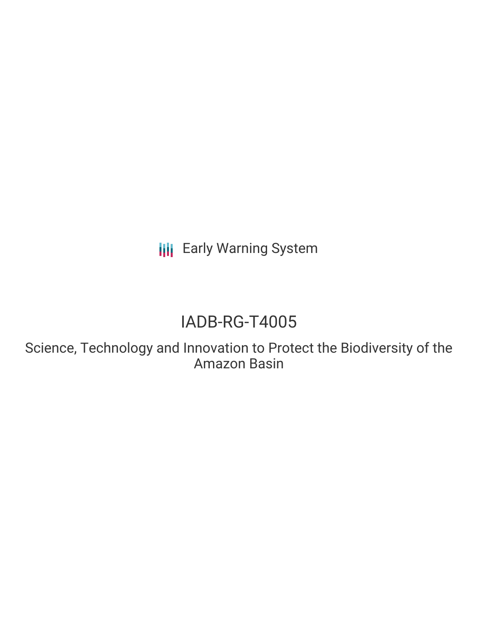**III** Early Warning System

# IADB-RG-T4005

Science, Technology and Innovation to Protect the Biodiversity of the Amazon Basin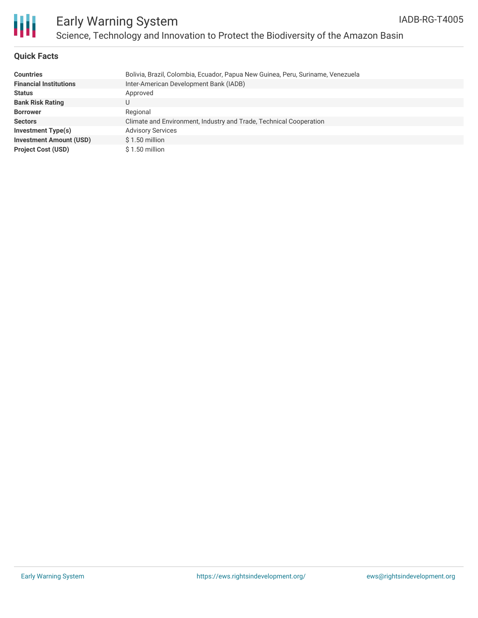

### **Quick Facts**

| <b>Countries</b>               | Bolivia, Brazil, Colombia, Ecuador, Papua New Guinea, Peru, Suriname, Venezuela |
|--------------------------------|---------------------------------------------------------------------------------|
| <b>Financial Institutions</b>  | Inter-American Development Bank (IADB)                                          |
| <b>Status</b>                  | Approved                                                                        |
| <b>Bank Risk Rating</b>        |                                                                                 |
| <b>Borrower</b>                | Regional                                                                        |
| <b>Sectors</b>                 | Climate and Environment, Industry and Trade, Technical Cooperation              |
| Investment Type(s)             | <b>Advisory Services</b>                                                        |
| <b>Investment Amount (USD)</b> | $$1.50$ million                                                                 |
| <b>Project Cost (USD)</b>      | $$1.50$ million                                                                 |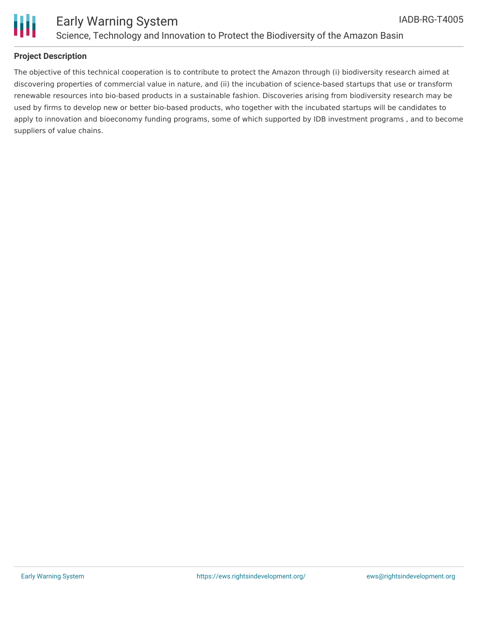

### **Project Description**

The objective of this technical cooperation is to contribute to protect the Amazon through (i) biodiversity research aimed at discovering properties of commercial value in nature, and (ii) the incubation of science-based startups that use or transform renewable resources into bio-based products in a sustainable fashion. Discoveries arising from biodiversity research may be used by firms to develop new or better bio-based products, who together with the incubated startups will be candidates to apply to innovation and bioeconomy funding programs, some of which supported by IDB investment programs , and to become suppliers of value chains.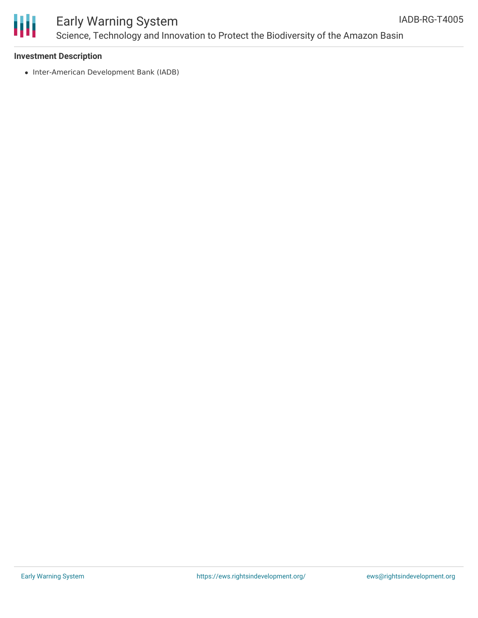

## Early Warning System Science, Technology and Innovation to Protect the Biodiversity of the Amazon Basin

#### **Investment Description**

• Inter-American Development Bank (IADB)